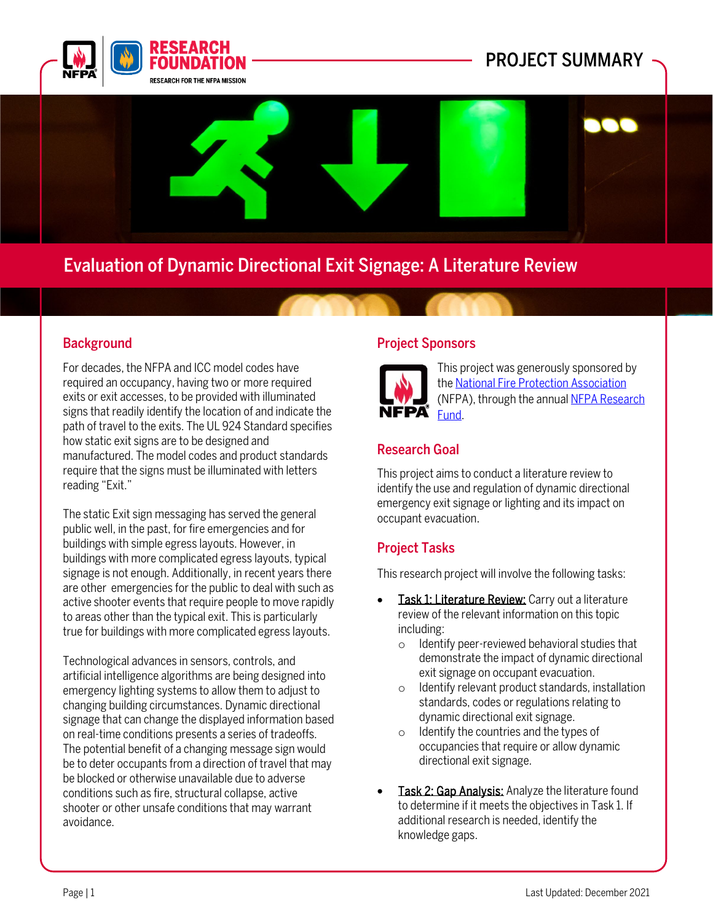



# Evaluation of Dynamic Directional Exit Signage: A Literature Review

## **Background**

For decades, the NFPA and ICC model codes have required an occupancy, having two or more required exits or exit accesses, to be provided with illuminated signs that readily identify the location of and indicate the path of travel to the exits. The UL 924 Standard specifies how static exit signs are to be designed and manufactured. The model codes and product standards require that the signs must be illuminated with letters reading "Exit."

The static Exit sign messaging has served the general public well, in the past, for fire emergencies and for buildings with simple egress layouts. However, in buildings with more complicated egress layouts, typical signage is not enough. Additionally, in recent years there are other emergencies for the public to deal with such as active shooter events that require people to move rapidly to areas other than the typical exit. This is particularly true for buildings with more complicated egress layouts.

Technological advances in sensors, controls, and artificial intelligence algorithms are being designed into emergency lighting systems to allow them to adjust to changing building circumstances. Dynamic directional signage that can change the displayed information based on real-time conditions presents a series of tradeoffs. The potential benefit of a changing message sign would be to deter occupants from a direction of travel that may be blocked or otherwise unavailable due to adverse conditions such as fire, structural collapse, active shooter or other unsafe conditions that may warrant avoidance.

#### Project Sponsors



This project was generously sponsored by th[e National Fire Protection Association](https://www.nfpa.org/) (NFPA), through the annua[l NFPA Research](https://www.nfpa.org/News-and-Research/Resources/Fire-Protection-Research-Foundation/NFPA-Research-Fund)  [Fund.](https://www.nfpa.org/News-and-Research/Resources/Fire-Protection-Research-Foundation/NFPA-Research-Fund)

## Research Goal

This project aims to conduct a literature review to identify the use and regulation of dynamic directional emergency exit signage or lighting and its impact on occupant evacuation.

## Project Tasks

This research project will involve the following tasks:

- Task 1: Literature Review: Carry out a literature review of the relevant information on this topic including:
	- o Identify peer-reviewed behavioral studies that demonstrate the impact of dynamic directional exit signage on occupant evacuation.
	- o Identify relevant product standards, installation standards, codes or regulations relating to dynamic directional exit signage.
	- o Identify the countries and the types of occupancies that require or allow dynamic directional exit signage.
- Task 2: Gap Analysis: Analyze the literature found to determine if it meets the objectives in Task 1. If additional research is needed, identify the knowledge gaps.